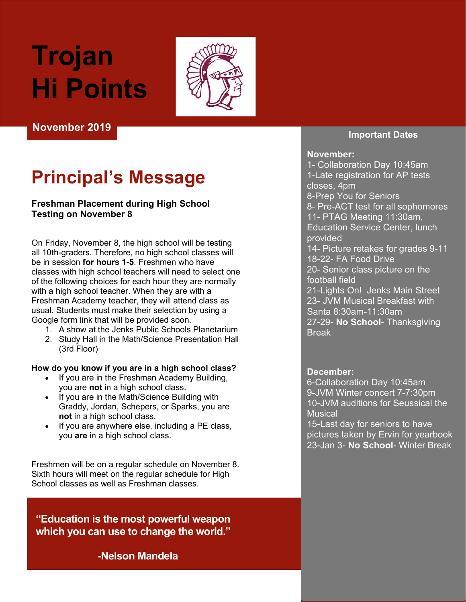# Trojan Hi Points



November 2019

# Principal's Message

#### **Freshman Placement during High School** Testing on November 8

On Friday, November 8, the high school will be testing all 10th-graders. Therefore, no high school classes will be in session for hours 1-5. Freshmen who have classes with high school teachers will need to select one of the following choices for each hour they are normally with a high school teacher. When they are with a Freshman Academy teacher, they will attend class as usual. Students must make their selection by using a Google form link that will be provided soon.

- 1. A show at the Jenks Public Schools Planetarium
- 2. Study Hall in the Math/Science Presentation Hall (3rd Floor)

#### How do you know if you are in a high school class?

- If you are in the Freshman Academy Building, you are not in a high school class.
- If you are in the Math/Science Building with Graddy, Jordan, Schepers, or Sparks, you are not in a high school class.
- If you are anywhere else, including a PE class, you are in a high school class.

Freshmen will be on a regular schedule on November 8. Sixth hours will meet on the regular schedule for High School classes as well as Freshman classes.

"Education is the most powerful weapon which you can use to change the world."

-Nelson Mandela

#### Important Dates

#### November:

1- Collaboration Day 10:45am 1-Late registration for AP tests closes, 4pm 8-Prep You for Seniors 8- Pre-ACT test for all sophomores 11- PTAG Meeting 11:30am, Education Service Center, lunch provided 14- Picture retakes for grades 9-11 18-22- FA Food Drive 20- Senior class picture on the football field 21-Lights On! Jenks Main Street 23- JVM Musical Breakfast with Santa 8:30am-11:30am 27-29- No School- Thanksgiving **Break** 

#### December:

6-Collaboration Day 10:45am 9-JVM Winter concert 7-7:30pm 10-JVM auditions for Seussical the **Musical** 

15-Last day for seniors to have pictures taken by Ervin for yearbook 23-Jan 3- No School- Winter Break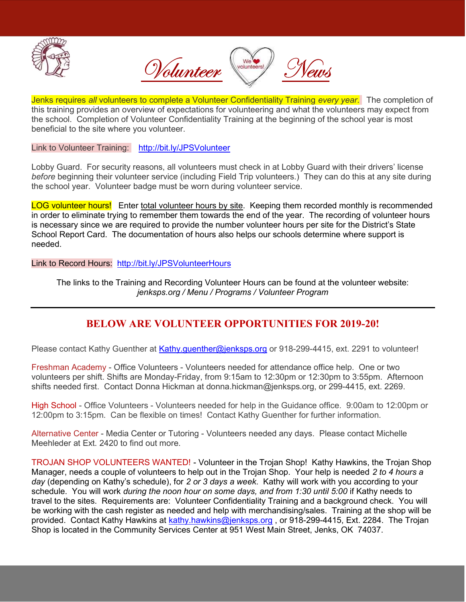



Jenks requires all volunteers to complete a Volunteer Confidentiality Training every year. The completion of this training provides an overview of expectations for volunteering and what the volunteers may expect from the school. Completion of Volunteer Confidentiality Training at the beginning of the school year is most beneficial to the site where you volunteer.

Link to Volunteer Training: http://bit.ly/JPSVolunteer

Lobby Guard. For security reasons, all volunteers must check in at Lobby Guard with their drivers' license before beginning their volunteer service (including Field Trip volunteers.) They can do this at any site during the school year. Volunteer badge must be worn during volunteer service.

LOG volunteer hours! Enter total volunteer hours by site. Keeping them recorded monthly is recommended in order to eliminate trying to remember them towards the end of the year. The recording of volunteer hours is necessary since we are required to provide the number volunteer hours per site for the District's State School Report Card. The documentation of hours also helps our schools determine where support is needed.

Link to Record Hours: http://bit.ly/JPSVolunteerHours

The links to the Training and Recording Volunteer Hours can be found at the volunteer website: jenksps.org / Menu / Programs / Volunteer Program

#### BELOW ARE VOLUNTEER OPPORTUNITIES FOR 2019-20!

Please contact Kathy Guenther at Kathy.guenther@jenksps.org or 918-299-4415, ext. 2291 to volunteer!

Freshman Academy - Office Volunteers - Volunteers needed for attendance office help. One or two volunteers per shift. Shifts are Monday-Friday, from 9:15am to 12:30pm or 12:30pm to 3:55pm. Afternoon shifts needed first. Contact Donna Hickman at donna.hickman@jenksps.org, or 299-4415, ext. 2269.

High School - Office Volunteers - Volunteers needed for help in the Guidance office. 9:00am to 12:00pm or 12:00pm to 3:15pm. Can be flexible on times! Contact Kathy Guenther for further information.

Alternative Center - Media Center or Tutoring - Volunteers needed any days. Please contact Michelle Meehleder at Ext. 2420 to find out more.

TROJAN SHOP VOLUNTEERS WANTED! - Volunteer in the Trojan Shop! Kathy Hawkins, the Trojan Shop Manager, needs a couple of volunteers to help out in the Trojan Shop. Your help is needed 2 to 4 hours a day (depending on Kathy's schedule), for 2 or 3 days a week. Kathy will work with you according to your schedule. You will work during the noon hour on some days, and from 1:30 until 5:00 if Kathy needs to travel to the sites. Requirements are: Volunteer Confidentiality Training and a background check. You will be working with the cash register as needed and help with merchandising/sales. Training at the shop will be provided. Contact Kathy Hawkins at kathy.hawkins@jenksps.org , or 918-299-4415, Ext. 2284. The Trojan Shop is located in the Community Services Center at 951 West Main Street, Jenks, OK 74037.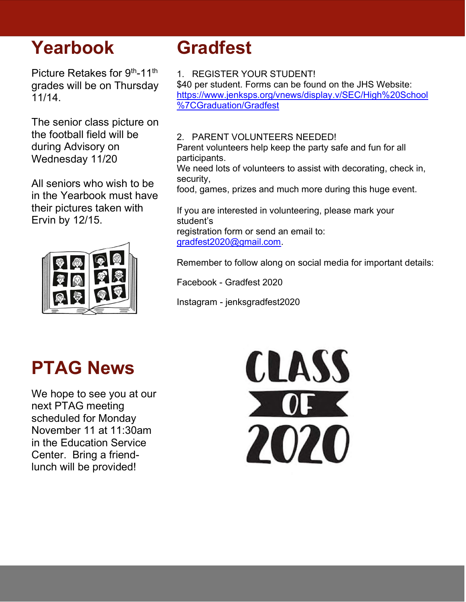## Yearbook

Picture Retakes for 9th-11th grades will be on Thursday 11/14.

The senior class picture on the football field will be during Advisory on Wednesday 11/20

All seniors who wish to be in the Yearbook must have their pictures taken with Ervin by 12/15.



# Gradfest

1. REGISTER YOUR STUDENT!

\$40 per student. Forms can be found on the JHS Website: https://www.jenksps.org/vnews/display.v/SEC/High%20School %7CGraduation/Gradfest

#### 2. PARENT VOLUNTEERS NEEDED!

Parent volunteers help keep the party safe and fun for all participants.

We need lots of volunteers to assist with decorating, check in, security,

food, games, prizes and much more during this huge event.

If you are interested in volunteering, please mark your student's registration form or send an email to: gradfest2020@gmail.com.

Remember to follow along on social media for important details:

Facebook - Gradfest 2020

Instagram - jenksgradfest2020

### PTAG News

We hope to see you at our next PTAG meeting scheduled for Monday November 11 at 11:30am in the Education Service Center. Bring a friendlunch will be provided!

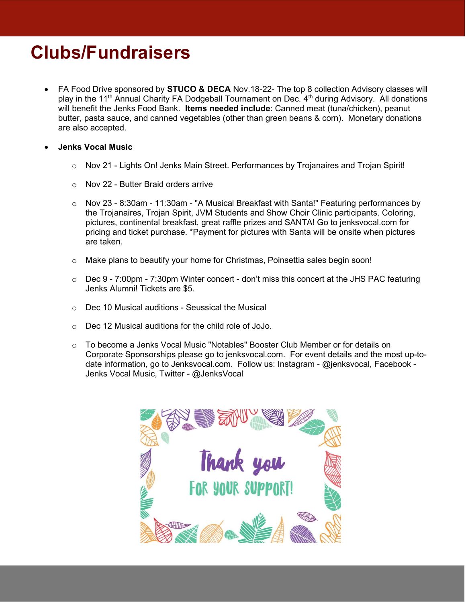# Clubs/Fundraisers

- FA Food Drive sponsored by **STUCO & DECA** Nov.18-22- The top 8 collection Advisory classes will play in the 11<sup>th</sup> Annual Charity FA Dodgeball Tournament on Dec. 4<sup>th</sup> during Advisory. All donations will benefit the Jenks Food Bank. Items needed include: Canned meat (tuna/chicken), peanut butter, pasta sauce, and canned vegetables (other than green beans & corn). Monetary donations are also accepted.
- Jenks Vocal Music
	- o Nov 21 Lights On! Jenks Main Street. Performances by Trojanaires and Trojan Spirit!
	- l. o Nov 22 - Butter Braid orders arrive
	- o Nov 23 8:30am 11:30am "A Musical Breakfast with Santa!" Featuring performances by the Trojanaires, Trojan Spirit, JVM Students and Show Choir Clinic participants. Coloring, pictures, continental breakfast, great raffle prizes and SANTA! Go to jenksvocal.com for pricing and ticket purchase. \*Payment for pictures with Santa will be onsite when pictures are taken.
	- o Make plans to beautify your home for Christmas, Poinsettia sales begin soon!
	- o Dec 9 7:00pm 7:30pm Winter concert don't miss this concert at the JHS PAC featuring Jenks Alumni! Tickets are \$5.
	- $\circ$  Dec 10 Musical auditions Seussical the Musical
	- o Dec 12 Musical auditions for the child role of JoJo.
	- o To become a Jenks Vocal Music "Notables" Booster Club Member or for details on Corporate Sponsorships please go to jenksvocal.com. For event details and the most up-todate information, go to Jenksvocal.com. Follow us: Instagram - @jenksvocal, Facebook - Jenks Vocal Music, Twitter - @JenksVocal